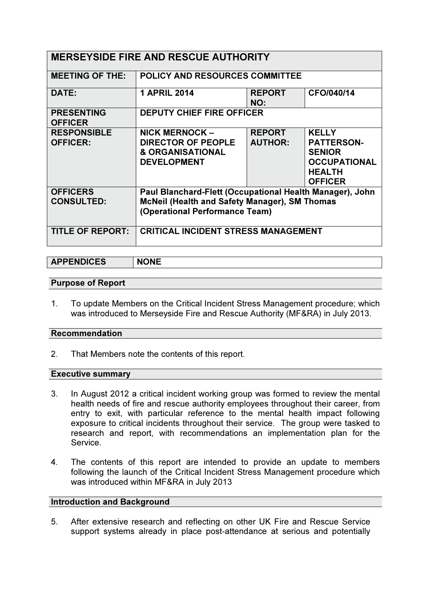| <b>MERSEYSIDE FIRE AND RESCUE AUTHORITY</b> |                                                          |                      |                     |
|---------------------------------------------|----------------------------------------------------------|----------------------|---------------------|
| <b>MEETING OF THE:</b>                      | <b>POLICY AND RESOURCES COMMITTEE</b>                    |                      |                     |
| DATE:                                       | <b>1 APRIL 2014</b>                                      | <b>REPORT</b><br>NO: | CFO/040/14          |
| <b>PRESENTING</b><br><b>OFFICER</b>         | <b>DEPUTY CHIEF FIRE OFFICER</b>                         |                      |                     |
| <b>RESPONSIBLE</b>                          | NICK MERNOCK -                                           | <b>REPORT</b>        | <b>KELLY</b>        |
| <b>OFFICER:</b>                             | <b>DIRECTOR OF PEOPLE</b>                                | <b>AUTHOR:</b>       | <b>PATTERSON-</b>   |
|                                             | <b>&amp; ORGANISATIONAL</b>                              |                      | <b>SENIOR</b>       |
|                                             | <b>DEVELOPMENT</b>                                       |                      | <b>OCCUPATIONAL</b> |
|                                             |                                                          |                      | <b>HEALTH</b>       |
|                                             |                                                          |                      | <b>OFFICER</b>      |
| <b>OFFICERS</b>                             | Paul Blanchard-Flett (Occupational Health Manager), John |                      |                     |
| <b>CONSULTED:</b>                           | <b>McNeil (Health and Safety Manager), SM Thomas</b>     |                      |                     |
|                                             | (Operational Performance Team)                           |                      |                     |
|                                             |                                                          |                      |                     |
| <b>TITLE OF REPORT:</b>                     | <b>CRITICAL INCIDENT STRESS MANAGEMENT</b>               |                      |                     |
|                                             |                                                          |                      |                     |

# APPENDICES NONE

### Purpose of Report

1. To update Members on the Critical Incident Stress Management procedure; which was introduced to Merseyside Fire and Rescue Authority (MF&RA) in July 2013.

#### Recommendation

2. That Members note the contents of this report.

#### Executive summary

- 3. In August 2012 a critical incident working group was formed to review the mental health needs of fire and rescue authority employees throughout their career, from entry to exit, with particular reference to the mental health impact following exposure to critical incidents throughout their service. The group were tasked to research and report, with recommendations an implementation plan for the Service.
- 4. The contents of this report are intended to provide an update to members following the launch of the Critical Incident Stress Management procedure which was introduced within MF&RA in July 2013

#### Introduction and Background

5. After extensive research and reflecting on other UK Fire and Rescue Service support systems already in place post-attendance at serious and potentially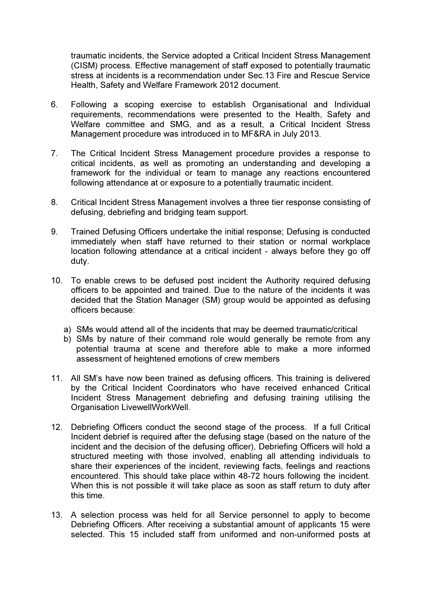traumatic incidents, the Service adopted a Critical Incident Stress Management (CISM) process. Effective management of staff exposed to potentially traumatic stress at incidents is a recommendation under Sec.13 Fire and Rescue Service Health, Safety and Welfare Framework 2012 document.

- 6. Following a scoping exercise to establish Organisational and Individual requirements, recommendations were presented to the Health, Safety and Welfare committee and SMG, and as a result, a Critical Incident Stress Management procedure was introduced in to MF&RA in July 2013.
- 7. The Critical Incident Stress Management procedure provides a response to critical incidents, as well as promoting an understanding and developing a framework for the individual or team to manage any reactions encountered following attendance at or exposure to a potentially traumatic incident.
- 8. Critical Incident Stress Management involves a three tier response consisting of defusing, debriefing and bridging team support.
- 9. Trained Defusing Officers undertake the initial response; Defusing is conducted immediately when staff have returned to their station or normal workplace location following attendance at a critical incident - always before they go off duty.
- 10. To enable crews to be defused post incident the Authority required defusing officers to be appointed and trained. Due to the nature of the incidents it was decided that the Station Manager (SM) group would be appointed as defusing officers because:
	- a) SMs would attend all of the incidents that may be deemed traumatic/critical
	- b) SMs by nature of their command role would generally be remote from any potential trauma at scene and therefore able to make a more informed assessment of heightened emotions of crew members
- 11. All SM's have now been trained as defusing officers. This training is delivered by the Critical Incident Coordinators who have received enhanced Critical Incident Stress Management debriefing and defusing training utilising the Organisation LivewellWorkWell.
- 12. Debriefing Officers conduct the second stage of the process. If a full Critical Incident debrief is required after the defusing stage (based on the nature of the incident and the decision of the defusing officer), Debriefing Officers will hold a structured meeting with those involved, enabling all attending individuals to share their experiences of the incident, reviewing facts, feelings and reactions encountered. This should take place within 48-72 hours following the incident. When this is not possible it will take place as soon as staff return to duty after this time.
- 13. A selection process was held for all Service personnel to apply to become Debriefing Officers. After receiving a substantial amount of applicants 15 were selected. This 15 included staff from uniformed and non-uniformed posts at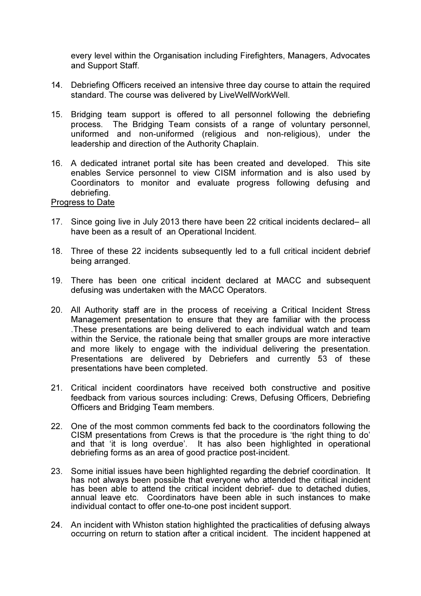every level within the Organisation including Firefighters, Managers, Advocates and Support Staff.

- 14. Debriefing Officers received an intensive three day course to attain the required standard. The course was delivered by LiveWellWorkWell.
- 15. Bridging team support is offered to all personnel following the debriefing process. The Bridging Team consists of a range of voluntary personnel, uniformed and non-uniformed (religious and non-religious), under the leadership and direction of the Authority Chaplain.
- 16. A dedicated intranet portal site has been created and developed. This site enables Service personnel to view CISM information and is also used by Coordinators to monitor and evaluate progress following defusing and debriefing.

### Progress to Date

- 17. Since going live in July 2013 there have been 22 critical incidents declared– all have been as a result of an Operational Incident.
- 18. Three of these 22 incidents subsequently led to a full critical incident debrief being arranged.
- 19. There has been one critical incident declared at MACC and subsequent defusing was undertaken with the MACC Operators.
- 20. All Authority staff are in the process of receiving a Critical Incident Stress Management presentation to ensure that they are familiar with the process .These presentations are being delivered to each individual watch and team within the Service, the rationale being that smaller groups are more interactive and more likely to engage with the individual delivering the presentation. Presentations are delivered by Debriefers and currently 53 of these presentations have been completed.
- 21. Critical incident coordinators have received both constructive and positive feedback from various sources including: Crews, Defusing Officers, Debriefing Officers and Bridging Team members.
- 22. One of the most common comments fed back to the coordinators following the CISM presentations from Crews is that the procedure is 'the right thing to do' and that 'it is long overdue'. It has also been highlighted in operational debriefing forms as an area of good practice post-incident.
- 23. Some initial issues have been highlighted regarding the debrief coordination. It has not always been possible that everyone who attended the critical incident has been able to attend the critical incident debrief- due to detached duties, annual leave etc. Coordinators have been able in such instances to make individual contact to offer one-to-one post incident support.
- 24. An incident with Whiston station highlighted the practicalities of defusing always occurring on return to station after a critical incident. The incident happened at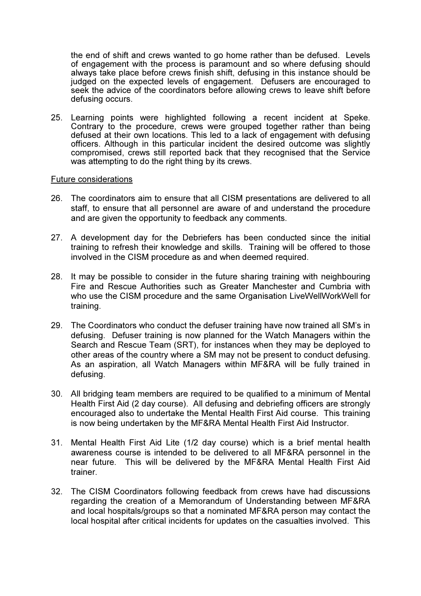the end of shift and crews wanted to go home rather than be defused. Levels of engagement with the process is paramount and so where defusing should always take place before crews finish shift, defusing in this instance should be judged on the expected levels of engagement. Defusers are encouraged to seek the advice of the coordinators before allowing crews to leave shift before defusing occurs.

25. Learning points were highlighted following a recent incident at Speke. Contrary to the procedure, crews were grouped together rather than being defused at their own locations. This led to a lack of engagement with defusing officers. Although in this particular incident the desired outcome was slightly compromised, crews still reported back that they recognised that the Service was attempting to do the right thing by its crews.

#### Future considerations

- 26. The coordinators aim to ensure that all CISM presentations are delivered to all staff, to ensure that all personnel are aware of and understand the procedure and are given the opportunity to feedback any comments.
- 27. A development day for the Debriefers has been conducted since the initial training to refresh their knowledge and skills. Training will be offered to those involved in the CISM procedure as and when deemed required.
- 28. It may be possible to consider in the future sharing training with neighbouring Fire and Rescue Authorities such as Greater Manchester and Cumbria with who use the CISM procedure and the same Organisation LiveWellWorkWell for training.
- 29. The Coordinators who conduct the defuser training have now trained all SM's in defusing. Defuser training is now planned for the Watch Managers within the Search and Rescue Team (SRT), for instances when they may be deployed to other areas of the country where a SM may not be present to conduct defusing. As an aspiration, all Watch Managers within MF&RA will be fully trained in defusing.
- 30. All bridging team members are required to be qualified to a minimum of Mental Health First Aid (2 day course). All defusing and debriefing officers are strongly encouraged also to undertake the Mental Health First Aid course. This training is now being undertaken by the MF&RA Mental Health First Aid Instructor.
- 31. Mental Health First Aid Lite (1/2 day course) which is a brief mental health awareness course is intended to be delivered to all MF&RA personnel in the near future. This will be delivered by the MF&RA Mental Health First Aid trainer.
- 32. The CISM Coordinators following feedback from crews have had discussions regarding the creation of a Memorandum of Understanding between MF&RA and local hospitals/groups so that a nominated MF&RA person may contact the local hospital after critical incidents for updates on the casualties involved. This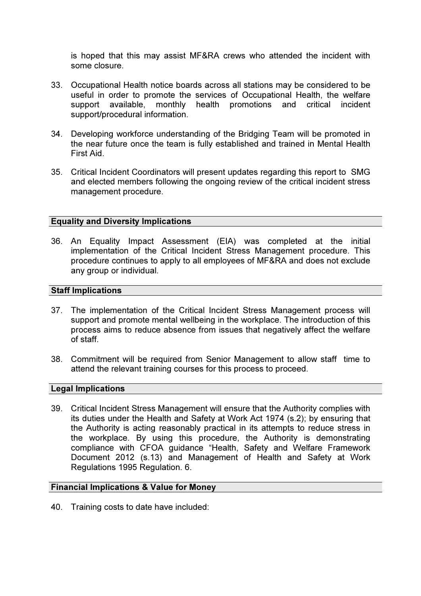is hoped that this may assist MF&RA crews who attended the incident with some closure.

- 33. Occupational Health notice boards across all stations may be considered to be useful in order to promote the services of Occupational Health, the welfare support available, monthly health promotions and critical incident support/procedural information.
- 34. Developing workforce understanding of the Bridging Team will be promoted in the near future once the team is fully established and trained in Mental Health First Aid.
- 35. Critical Incident Coordinators will present updates regarding this report to SMG and elected members following the ongoing review of the critical incident stress management procedure.

### Equality and Diversity Implications

36. An Equality Impact Assessment (EIA) was completed at the initial implementation of the Critical Incident Stress Management procedure. This procedure continues to apply to all employees of MF&RA and does not exclude any group or individual.

#### Staff Implications

- 37. The implementation of the Critical Incident Stress Management process will support and promote mental wellbeing in the workplace. The introduction of this process aims to reduce absence from issues that negatively affect the welfare of staff.
- 38. Commitment will be required from Senior Management to allow staff time to attend the relevant training courses for this process to proceed.

#### Legal Implications

39. Critical Incident Stress Management will ensure that the Authority complies with its duties under the Health and Safety at Work Act 1974 (s.2); by ensuring that the Authority is acting reasonably practical in its attempts to reduce stress in the workplace. By using this procedure, the Authority is demonstrating compliance with CFOA guidance "Health, Safety and Welfare Framework Document 2012 (s.13) and Management of Health and Safety at Work Regulations 1995 Regulation. 6.

#### Financial Implications & Value for Money

40. Training costs to date have included: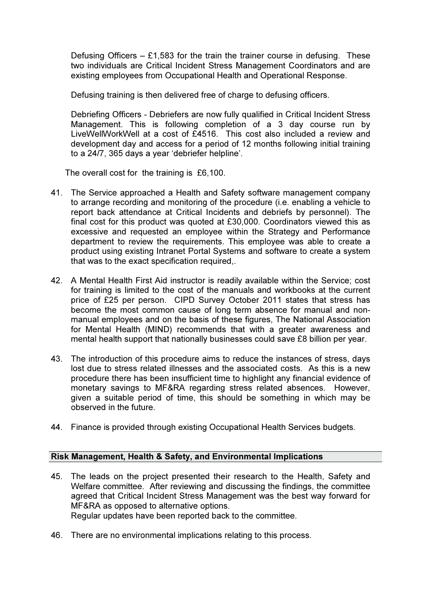Defusing Officers  $-$  £1,583 for the train the trainer course in defusing. These two individuals are Critical Incident Stress Management Coordinators and are existing employees from Occupational Health and Operational Response.

Defusing training is then delivered free of charge to defusing officers.

Debriefing Officers - Debriefers are now fully qualified in Critical Incident Stress Management. This is following completion of a 3 day course run by LiveWellWorkWell at a cost of £4516. This cost also included a review and development day and access for a period of 12 months following initial training to a 24/7, 365 days a year 'debriefer helpline'.

The overall cost for the training is £6,100.

- 41. The Service approached a Health and Safety software management company to arrange recording and monitoring of the procedure (i.e. enabling a vehicle to report back attendance at Critical Incidents and debriefs by personnel). The final cost for this product was quoted at £30,000. Coordinators viewed this as excessive and requested an employee within the Strategy and Performance department to review the requirements. This employee was able to create a product using existing Intranet Portal Systems and software to create a system that was to the exact specification required,.
- 42. A Mental Health First Aid instructor is readily available within the Service; cost for training is limited to the cost of the manuals and workbooks at the current price of £25 per person. CIPD Survey October 2011 states that stress has become the most common cause of long term absence for manual and nonmanual employees and on the basis of these figures, The National Association for Mental Health (MIND) recommends that with a greater awareness and mental health support that nationally businesses could save £8 billion per year.
- 43. The introduction of this procedure aims to reduce the instances of stress, days lost due to stress related illnesses and the associated costs. As this is a new procedure there has been insufficient time to highlight any financial evidence of monetary savings to MF&RA regarding stress related absences. However, given a suitable period of time, this should be something in which may be observed in the future.
- 44. Finance is provided through existing Occupational Health Services budgets.

## Risk Management, Health & Safety, and Environmental Implications

- 45. The leads on the project presented their research to the Health, Safety and Welfare committee. After reviewing and discussing the findings, the committee agreed that Critical Incident Stress Management was the best way forward for MF&RA as opposed to alternative options. Regular updates have been reported back to the committee.
- 46. There are no environmental implications relating to this process.